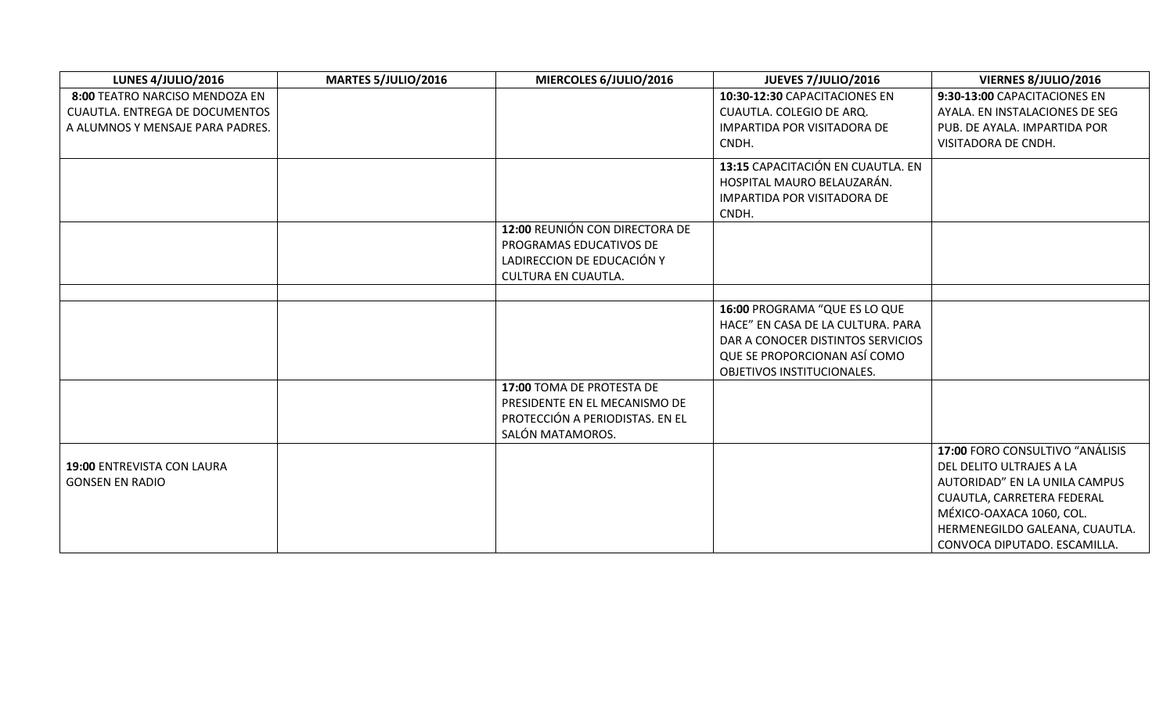| <b>LUNES 4/JULIO/2016</b>             | <b>MARTES 5/JULIO/2016</b> | MIERCOLES 6/JULIO/2016          | JUEVES 7/JULIO/2016                                                | VIERNES 8/JULIO/2016            |
|---------------------------------------|----------------------------|---------------------------------|--------------------------------------------------------------------|---------------------------------|
| 8:00 TEATRO NARCISO MENDOZA EN        |                            |                                 | 10:30-12:30 CAPACITACIONES EN                                      | 9:30-13:00 CAPACITACIONES EN    |
| <b>CUAUTLA. ENTREGA DE DOCUMENTOS</b> |                            |                                 | CUAUTLA. COLEGIO DE ARQ.                                           | AYALA. EN INSTALACIONES DE SEG  |
| A ALUMNOS Y MENSAJE PARA PADRES.      |                            |                                 | IMPARTIDA POR VISITADORA DE                                        | PUB. DE AYALA. IMPARTIDA POR    |
|                                       |                            |                                 | CNDH.                                                              | VISITADORA DE CNDH.             |
|                                       |                            |                                 | 13:15 CAPACITACIÓN EN CUAUTLA. EN                                  |                                 |
|                                       |                            |                                 | HOSPITAL MAURO BELAUZARÁN.                                         |                                 |
|                                       |                            |                                 | <b>IMPARTIDA POR VISITADORA DE</b>                                 |                                 |
|                                       |                            |                                 | CNDH.                                                              |                                 |
|                                       |                            | 12:00 REUNIÓN CON DIRECTORA DE  |                                                                    |                                 |
|                                       |                            | PROGRAMAS EDUCATIVOS DE         |                                                                    |                                 |
|                                       |                            | LADIRECCION DE EDUCACIÓN Y      |                                                                    |                                 |
|                                       |                            | <b>CULTURA EN CUAUTLA.</b>      |                                                                    |                                 |
|                                       |                            |                                 |                                                                    |                                 |
|                                       |                            |                                 | 16:00 PROGRAMA "QUE ES LO QUE<br>HACE" EN CASA DE LA CULTURA. PARA |                                 |
|                                       |                            |                                 | DAR A CONOCER DISTINTOS SERVICIOS                                  |                                 |
|                                       |                            |                                 | QUE SE PROPORCIONAN ASÍ COMO                                       |                                 |
|                                       |                            |                                 | OBJETIVOS INSTITUCIONALES.                                         |                                 |
|                                       |                            | 17:00 TOMA DE PROTESTA DE       |                                                                    |                                 |
|                                       |                            | PRESIDENTE EN EL MECANISMO DE   |                                                                    |                                 |
|                                       |                            | PROTECCIÓN A PERIODISTAS. EN EL |                                                                    |                                 |
|                                       |                            | SALÓN MATAMOROS.                |                                                                    |                                 |
|                                       |                            |                                 |                                                                    | 17:00 FORO CONSULTIVO "ANÁLISIS |
| 19:00 ENTREVISTA CON LAURA            |                            |                                 |                                                                    | DEL DELITO ULTRAJES A LA        |
| <b>GONSEN EN RADIO</b>                |                            |                                 |                                                                    | AUTORIDAD" EN LA UNILA CAMPUS   |
|                                       |                            |                                 |                                                                    | CUAUTLA, CARRETERA FEDERAL      |
|                                       |                            |                                 |                                                                    | MÉXICO-OAXACA 1060, COL.        |
|                                       |                            |                                 |                                                                    | HERMENEGILDO GALEANA, CUAUTLA.  |
|                                       |                            |                                 |                                                                    | CONVOCA DIPUTADO. ESCAMILLA.    |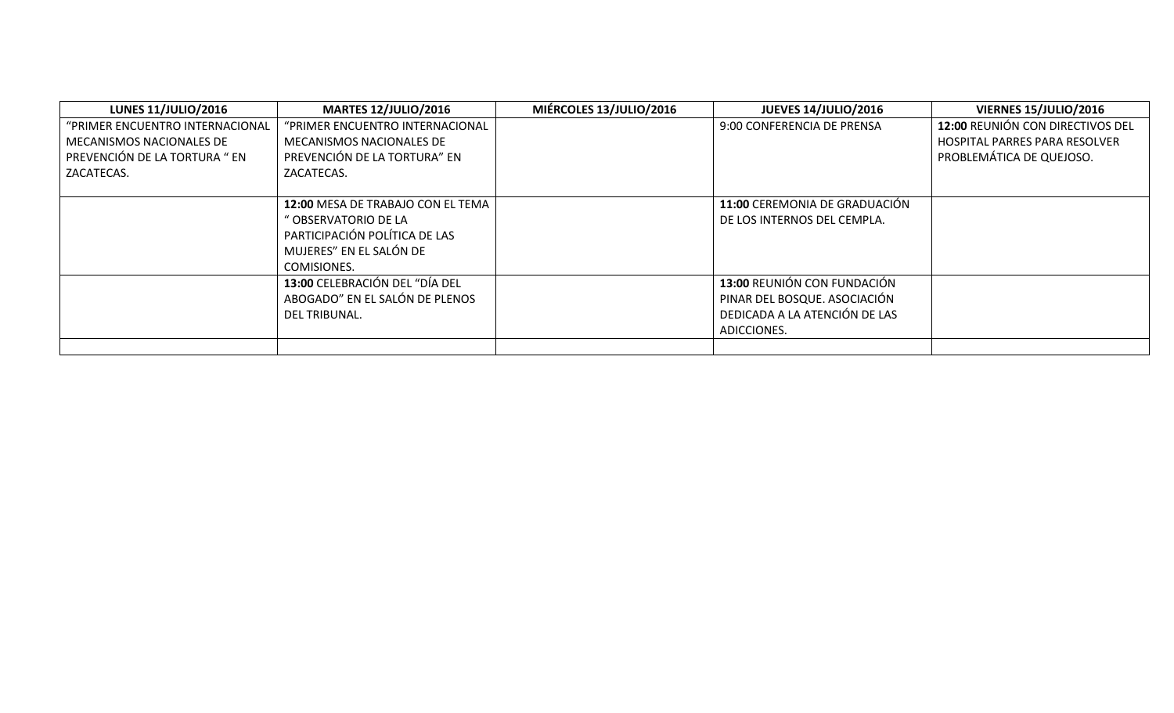| <b>LUNES 11/JULIO/2016</b>      | <b>MARTES 12/JULIO/2016</b>       | MIÉRCOLES 13/JULIO/2016 | <b>JUEVES 14/JULIO/2016</b>          | <b>VIERNES 15/JULIO/2016</b>         |
|---------------------------------|-----------------------------------|-------------------------|--------------------------------------|--------------------------------------|
| "PRIMER ENCUENTRO INTERNACIONAL | "PRIMER ENCUENTRO INTERNACIONAL   |                         | 9:00 CONFERENCIA DE PRENSA           | 12:00 REUNIÓN CON DIRECTIVOS DEL     |
| MECANISMOS NACIONALES DE        | MECANISMOS NACIONALES DE          |                         |                                      | <b>HOSPITAL PARRES PARA RESOLVER</b> |
| PREVENCIÓN DE LA TORTURA " EN   | PREVENCIÓN DE LA TORTURA" EN      |                         |                                      | PROBLEMÁTICA DE QUEJOSO.             |
| ZACATECAS.                      | ZACATECAS.                        |                         |                                      |                                      |
|                                 |                                   |                         |                                      |                                      |
|                                 | 12:00 MESA DE TRABAJO CON EL TEMA |                         | <b>11:00 CEREMONIA DE GRADUACIÓN</b> |                                      |
|                                 | " OBSERVATORIO DE LA              |                         | DE LOS INTERNOS DEL CEMPLA.          |                                      |
|                                 | PARTICIPACIÓN POLÍTICA DE LAS     |                         |                                      |                                      |
|                                 | MUJERES" EN EL SALÓN DE           |                         |                                      |                                      |
|                                 | COMISIONES.                       |                         |                                      |                                      |
|                                 | 13:00 CELEBRACIÓN DEL "DÍA DEL    |                         | 13:00 REUNIÓN CON FUNDACIÓN          |                                      |
|                                 | ABOGADO" EN EL SALÓN DE PLENOS    |                         | PINAR DEL BOSQUE. ASOCIACIÓN         |                                      |
|                                 | DEL TRIBUNAL.                     |                         | DEDICADA A LA ATENCIÓN DE LAS        |                                      |
|                                 |                                   |                         | ADICCIONES.                          |                                      |
|                                 |                                   |                         |                                      |                                      |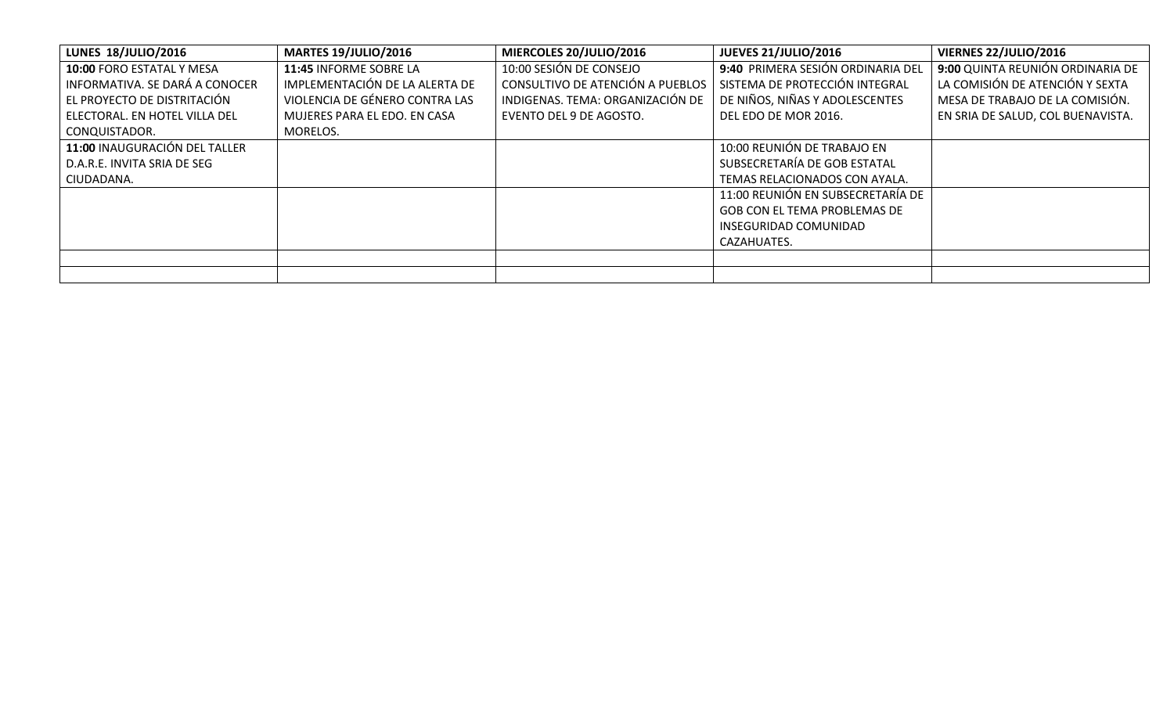| <b>LUNES 18/JULIO/2016</b>     | <b>MARTES 19/JULIO/2016</b>    | MIERCOLES 20/JULIO/2016          | <b>JUEVES 21/JULIO/2016</b>       | VIERNES 22/JULIO/2016             |
|--------------------------------|--------------------------------|----------------------------------|-----------------------------------|-----------------------------------|
| 10:00 FORO ESTATAL Y MESA      | 11:45 INFORME SOBRE LA         | 10:00 SESIÓN DE CONSEJO          | 9:40 PRIMERA SESIÓN ORDINARIA DEL | 9:00 QUINTA REUNIÓN ORDINARIA DE  |
| INFORMATIVA. SE DARÁ A CONOCER | IMPLEMENTACIÓN DE LA ALERTA DE | CONSULTIVO DE ATENCIÓN A PUEBLOS | SISTEMA DE PROTECCIÓN INTEGRAL    | LA COMISIÓN DE ATENCIÓN Y SEXTA   |
| LEL PROYECTO DE DISTRITACIÓN   | VIOLENCIA DE GÉNERO CONTRA LAS | INDIGENAS. TEMA: ORGANIZACIÓN DE | DE NIÑOS, NIÑAS Y ADOLESCENTES    | MESA DE TRABAJO DE LA COMISIÓN.   |
| ELECTORAL. EN HOTEL VILLA DEL  | MUJERES PARA EL EDO. EN CASA   | EVENTO DEL 9 DE AGOSTO.          | DEL EDO DE MOR 2016.              | EN SRIA DE SALUD, COL BUENAVISTA. |
| CONQUISTADOR.                  | MORELOS.                       |                                  |                                   |                                   |
| 11:00 INAUGURACIÓN DEL TALLER  |                                |                                  | 10:00 REUNIÓN DE TRABAJO EN       |                                   |
| D.A.R.E. INVITA SRIA DE SEG    |                                |                                  | SUBSECRETARÍA DE GOB ESTATAL      |                                   |
| CIUDADANA.                     |                                |                                  | TEMAS RELACIONADOS CON AYALA.     |                                   |
|                                |                                |                                  | 11:00 REUNIÓN EN SUBSECRETARÍA DE |                                   |
|                                |                                |                                  | GOB CON EL TEMA PROBLEMAS DE      |                                   |
|                                |                                |                                  | INSEGURIDAD COMUNIDAD             |                                   |
|                                |                                |                                  | CAZAHUATES.                       |                                   |
|                                |                                |                                  |                                   |                                   |
|                                |                                |                                  |                                   |                                   |